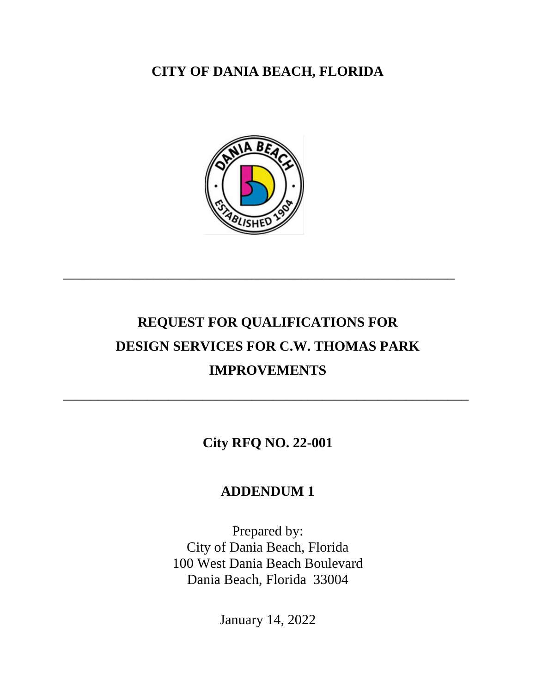**CITY OF DANIA BEACH, FLORIDA**



\_\_\_\_\_\_\_\_\_\_\_\_\_\_\_\_\_\_\_\_\_\_\_\_\_\_\_\_\_\_\_\_\_\_\_\_\_\_\_\_\_\_\_\_\_\_\_\_\_\_\_\_\_\_\_\_

## **REQUEST FOR QUALIFICATIONS FOR DESIGN SERVICES FOR C.W. THOMAS PARK IMPROVEMENTS**

**City RFQ NO. 22-001**

\_\_\_\_\_\_\_\_\_\_\_\_\_\_\_\_\_\_\_\_\_\_\_\_\_\_\_\_\_\_\_\_\_\_\_\_\_\_\_\_\_\_\_\_\_\_\_\_\_\_\_\_\_\_\_\_\_\_

## **ADDENDUM 1**

Prepared by: City of Dania Beach, Florida 100 West Dania Beach Boulevard Dania Beach, Florida 33004

January 14, 2022